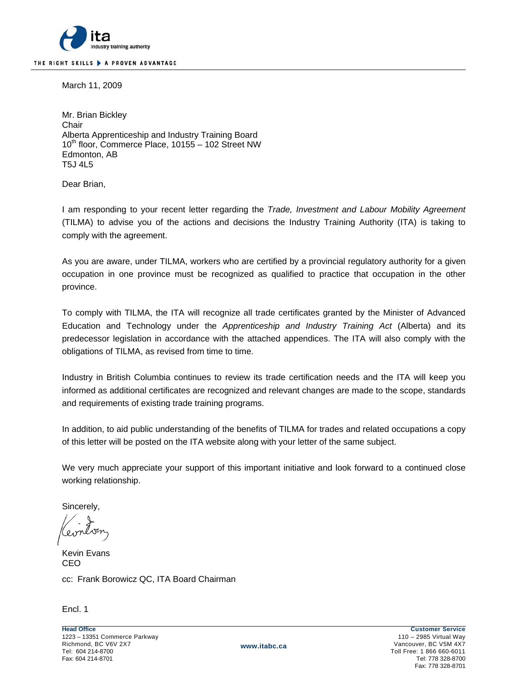

March 11, 2009

Mr. Brian Bickley **Chair** Alberta Apprenticeship and Industry Training Board 10<sup>th</sup> floor, Commerce Place, 10155 - 102 Street NW Edmonton, AB T5J 4L5

Dear Brian,

I am responding to your recent letter regarding the *Trade, Investment and Labour Mobility Agreement* (TILMA) to advise you of the actions and decisions the Industry Training Authority (ITA) is taking to comply with the agreement.

As you are aware, under TILMA, workers who are certified by a provincial regulatory authority for a given occupation in one province must be recognized as qualified to practice that occupation in the other province.

To comply with TILMA, the ITA will recognize all trade certificates granted by the Minister of Advanced Education and Technology under the *Apprenticeship and Industry Training Act* (Alberta) and its predecessor legislation in accordance with the attached appendices. The ITA will also comply with the obligations of TILMA, as revised from time to time.

Industry in British Columbia continues to review its trade certification needs and the ITA will keep you informed as additional certificates are recognized and relevant changes are made to the scope, standards and requirements of existing trade training programs.

In addition, to aid public understanding of the benefits of TILMA for trades and related occupations a copy of this letter will be posted on the ITA website along with your letter of the same subject.

We very much appreciate your support of this important initiative and look forward to a continued close working relationship.

Sincerely,

Kevin Evans CEO cc: Frank Borowicz QC, ITA Board Chairman

Encl. 1

Toll Free: 1 866 660-6011 Fax: 778 328-8701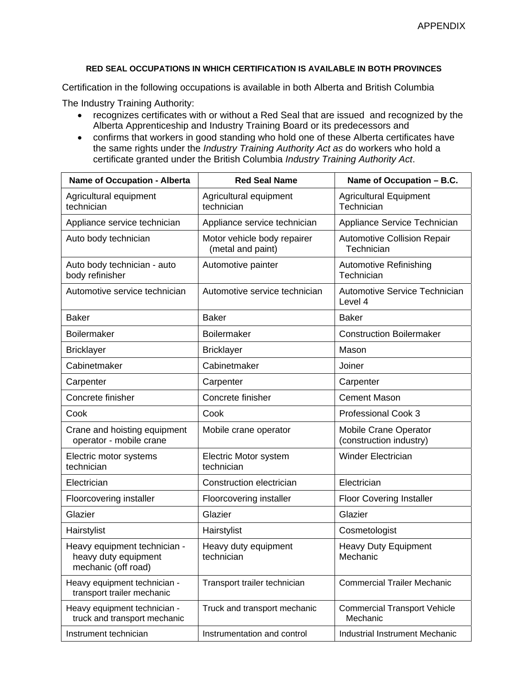## **RED SEAL OCCUPATIONS IN WHICH CERTIFICATION IS AVAILABLE IN BOTH PROVINCES**

Certification in the following occupations is available in both Alberta and British Columbia

The Industry Training Authority:

- recognizes certificates with or without a Red Seal that are issued and recognized by the Alberta Apprenticeship and Industry Training Board or its predecessors and
- confirms that workers in good standing who hold one of these Alberta certificates have the same rights under the *Industry Training Authority Act as* do workers who hold a certificate granted under the British Columbia *Industry Training Authority Act*.

| <b>Name of Occupation - Alberta</b>                                         | <b>Red Seal Name</b>                             | Name of Occupation - B.C.                        |
|-----------------------------------------------------------------------------|--------------------------------------------------|--------------------------------------------------|
| Agricultural equipment<br>technician                                        | Agricultural equipment<br>technician             | <b>Agricultural Equipment</b><br>Technician      |
| Appliance service technician                                                | Appliance service technician                     | Appliance Service Technician                     |
| Auto body technician                                                        | Motor vehicle body repairer<br>(metal and paint) | <b>Automotive Collision Repair</b><br>Technician |
| Auto body technician - auto<br>body refinisher                              | Automotive painter                               | <b>Automotive Refinishing</b><br>Technician      |
| Automotive service technician                                               | Automotive service technician                    | <b>Automotive Service Technician</b><br>Level 4  |
| <b>Baker</b>                                                                | <b>Baker</b>                                     | <b>Baker</b>                                     |
| Boilermaker                                                                 | Boilermaker                                      | <b>Construction Boilermaker</b>                  |
| <b>Bricklayer</b>                                                           | <b>Bricklayer</b>                                | Mason                                            |
| Cabinetmaker                                                                | Cabinetmaker                                     | Joiner                                           |
| Carpenter                                                                   | Carpenter                                        | Carpenter                                        |
| Concrete finisher                                                           | Concrete finisher                                | <b>Cement Mason</b>                              |
| Cook                                                                        | Cook                                             | Professional Cook 3                              |
| Crane and hoisting equipment<br>operator - mobile crane                     | Mobile crane operator                            | Mobile Crane Operator<br>(construction industry) |
| Electric motor systems<br>technician                                        | Electric Motor system<br>technician              | <b>Winder Electrician</b>                        |
| Electrician                                                                 | Construction electrician                         | Electrician                                      |
| Floorcovering installer                                                     | Floorcovering installer                          | <b>Floor Covering Installer</b>                  |
| Glazier                                                                     | Glazier                                          | Glazier                                          |
| Hairstylist                                                                 | Hairstylist                                      | Cosmetologist                                    |
| Heavy equipment technician -<br>heavy duty equipment<br>mechanic (off road) | Heavy duty equipment<br>technician               | <b>Heavy Duty Equipment</b><br>Mechanic          |
| Heavy equipment technician -<br>transport trailer mechanic                  | Transport trailer technician                     | <b>Commercial Trailer Mechanic</b>               |
| Heavy equipment technician -<br>truck and transport mechanic                | Truck and transport mechanic                     | <b>Commercial Transport Vehicle</b><br>Mechanic  |
| Instrument technician                                                       | Instrumentation and control                      | Industrial Instrument Mechanic                   |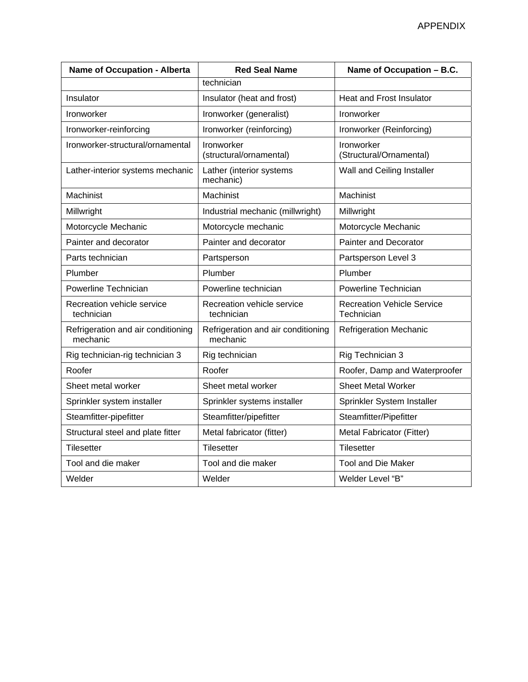| <b>Name of Occupation - Alberta</b>            | <b>Red Seal Name</b>                           | Name of Occupation - B.C.                       |
|------------------------------------------------|------------------------------------------------|-------------------------------------------------|
|                                                | technician                                     |                                                 |
| Insulator                                      | Insulator (heat and frost)                     | <b>Heat and Frost Insulator</b>                 |
| Ironworker                                     | Ironworker (generalist)                        | Ironworker                                      |
| Ironworker-reinforcing                         | Ironworker (reinforcing)                       | Ironworker (Reinforcing)                        |
| Ironworker-structural/ornamental               | Ironworker<br>(structural/ornamental)          | Ironworker<br>(Structural/Ornamental)           |
| Lather-interior systems mechanic               | Lather (interior systems<br>mechanic)          | Wall and Ceiling Installer                      |
| Machinist                                      | Machinist                                      | Machinist                                       |
| Millwright                                     | Industrial mechanic (millwright)               | Millwright                                      |
| Motorcycle Mechanic                            | Motorcycle mechanic                            | Motorcycle Mechanic                             |
| Painter and decorator                          | Painter and decorator                          | <b>Painter and Decorator</b>                    |
| Parts technician                               | Partsperson                                    | Partsperson Level 3                             |
| Plumber                                        | Plumber                                        | Plumber                                         |
| Powerline Technician                           | Powerline technician                           | Powerline Technician                            |
| Recreation vehicle service<br>technician       | Recreation vehicle service<br>technician       | <b>Recreation Vehicle Service</b><br>Technician |
| Refrigeration and air conditioning<br>mechanic | Refrigeration and air conditioning<br>mechanic | <b>Refrigeration Mechanic</b>                   |
| Rig technician-rig technician 3                | Rig technician                                 | Rig Technician 3                                |
| Roofer                                         | Roofer                                         | Roofer, Damp and Waterproofer                   |
| Sheet metal worker                             | Sheet metal worker                             | <b>Sheet Metal Worker</b>                       |
| Sprinkler system installer                     | Sprinkler systems installer                    | Sprinkler System Installer                      |
| Steamfitter-pipefitter                         | Steamfitter/pipefitter                         | Steamfitter/Pipefitter                          |
| Structural steel and plate fitter              | Metal fabricator (fitter)                      | Metal Fabricator (Fitter)                       |
| <b>Tilesetter</b>                              | <b>Tilesetter</b>                              | Tilesetter                                      |
| Tool and die maker                             | Tool and die maker                             | <b>Tool and Die Maker</b>                       |
| Welder                                         | Welder                                         | Welder Level "B"                                |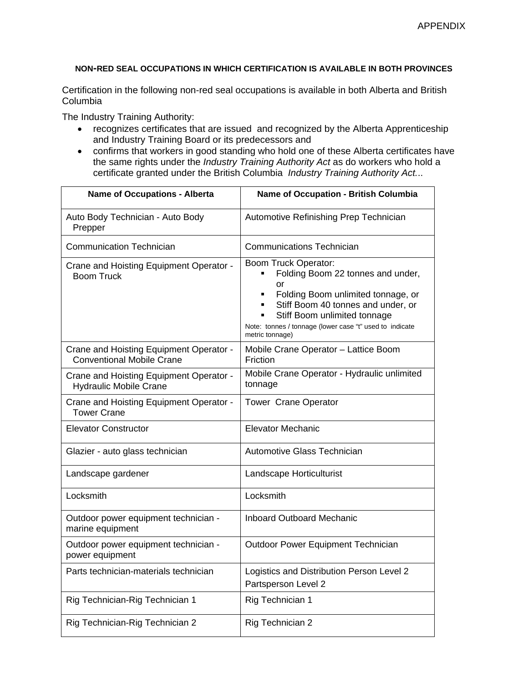## **NON-RED SEAL OCCUPATIONS IN WHICH CERTIFICATION IS AVAILABLE IN BOTH PROVINCES**

Certification in the following non-red seal occupations is available in both Alberta and British Columbia

The Industry Training Authority:

- recognizes certificates that are issued and recognized by the Alberta Apprenticeship and Industry Training Board or its predecessors and
- confirms that workers in good standing who hold one of these Alberta certificates have the same rights under the *Industry Training Authority Act* as do workers who hold a certificate granted under the British Columbia *Industry Training Authority Act.*..

| <b>Name of Occupations - Alberta</b>                                        | Name of Occupation - British Columbia                                                                                                                                                                                                                     |
|-----------------------------------------------------------------------------|-----------------------------------------------------------------------------------------------------------------------------------------------------------------------------------------------------------------------------------------------------------|
| Auto Body Technician - Auto Body<br>Prepper                                 | Automotive Refinishing Prep Technician                                                                                                                                                                                                                    |
| Communication Technician                                                    | <b>Communications Technician</b>                                                                                                                                                                                                                          |
| Crane and Hoisting Equipment Operator -<br><b>Boom Truck</b>                | Boom Truck Operator:<br>Folding Boom 22 tonnes and under,<br>or<br>Folding Boom unlimited tonnage, or<br>Stiff Boom 40 tonnes and under, or<br>Stiff Boom unlimited tonnage<br>Note: tonnes / tonnage (lower case "t" used to indicate<br>metric tonnage) |
| Crane and Hoisting Equipment Operator -<br><b>Conventional Mobile Crane</b> | Mobile Crane Operator - Lattice Boom<br>Friction                                                                                                                                                                                                          |
| Crane and Hoisting Equipment Operator -<br><b>Hydraulic Mobile Crane</b>    | Mobile Crane Operator - Hydraulic unlimited<br>tonnage                                                                                                                                                                                                    |
| Crane and Hoisting Equipment Operator -<br><b>Tower Crane</b>               | <b>Tower Crane Operator</b>                                                                                                                                                                                                                               |
| <b>Elevator Constructor</b>                                                 | <b>Elevator Mechanic</b>                                                                                                                                                                                                                                  |
| Glazier - auto glass technician                                             | Automotive Glass Technician                                                                                                                                                                                                                               |
| Landscape gardener                                                          | Landscape Horticulturist                                                                                                                                                                                                                                  |
| Locksmith                                                                   | Locksmith                                                                                                                                                                                                                                                 |
| Outdoor power equipment technician -<br>marine equipment                    | <b>Inboard Outboard Mechanic</b>                                                                                                                                                                                                                          |
| Outdoor power equipment technician -<br>power equipment                     | Outdoor Power Equipment Technician                                                                                                                                                                                                                        |
| Parts technician-materials technician                                       | Logistics and Distribution Person Level 2<br>Partsperson Level 2                                                                                                                                                                                          |
| Rig Technician-Rig Technician 1                                             | Rig Technician 1                                                                                                                                                                                                                                          |
| Rig Technician-Rig Technician 2                                             | Rig Technician 2                                                                                                                                                                                                                                          |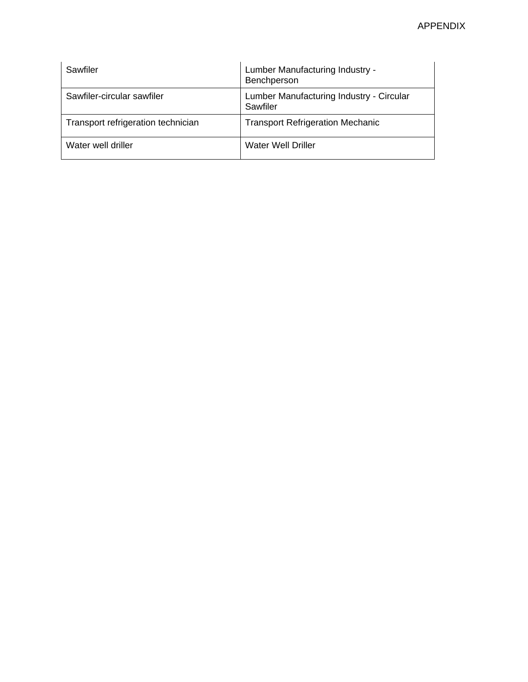| Sawfiler                           | Lumber Manufacturing Industry -<br>Benchperson       |
|------------------------------------|------------------------------------------------------|
| Sawfiler-circular sawfiler         | Lumber Manufacturing Industry - Circular<br>Sawfiler |
| Transport refrigeration technician | <b>Transport Refrigeration Mechanic</b>              |
| Water well driller                 | Water Well Driller                                   |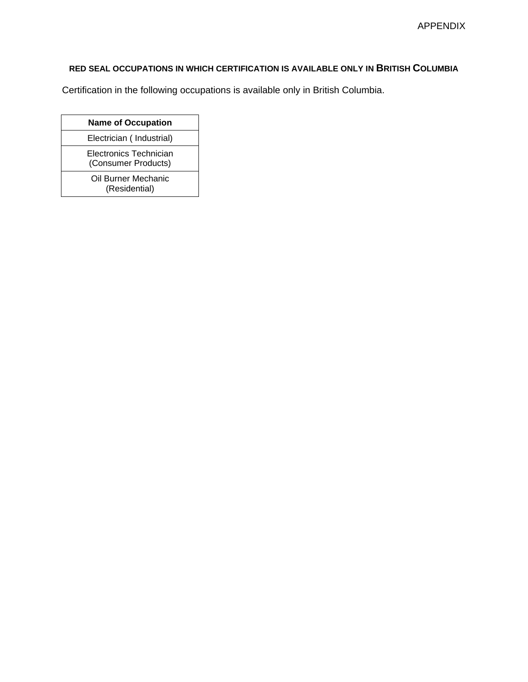## **RED SEAL OCCUPATIONS IN WHICH CERTIFICATION IS AVAILABLE ONLY IN BRITISH COLUMBIA**

Certification in the following occupations is available only in British Columbia.

| <b>Name of Occupation</b>                     |
|-----------------------------------------------|
| Electrician (Industrial)                      |
| Electronics Technician<br>(Consumer Products) |
| Oil Burner Mechanic<br>(Residential)          |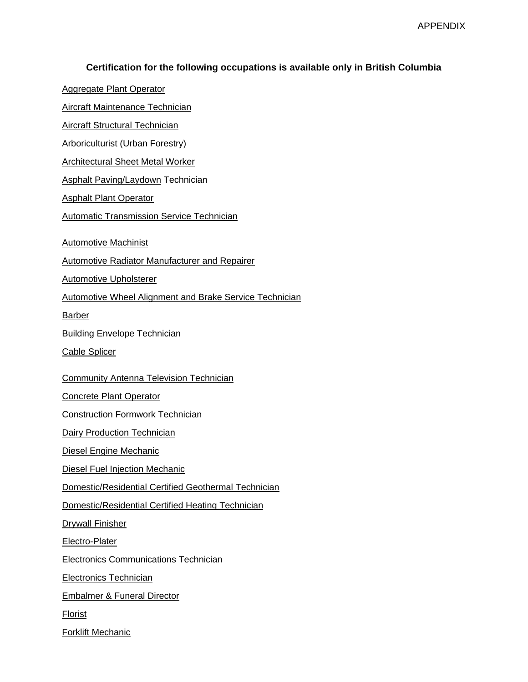## **Certification for the following occupations is available only in British Columbia**

[Aggregate Plant Operator](http://www.itabc.ca/TrainingPrograms_Profiles.php?TradeProfileID=195) [Aircraft Maintenance Technician](http://www.itabc.ca/TrainingPrograms_Profiles.php?TradeProfileID=163)  [Aircraft Structural Technician](http://www.itabc.ca/TrainingPrograms_Profiles.php?TradeProfileID=207)  [Arboriculturist \(Urban Forestry\)](http://www.itabc.ca/TrainingPrograms_Profiles.php?TradeProfileID=223) [Architectural Sheet Metal Worker](http://www.itabc.ca/TrainingPrograms_Profiles.php?TradeProfileID=153)  [Asphalt Paving/Laydown](http://www.itabc.ca/TrainingPrograms_Profiles.php?TradeProfileID=246) Technician [Asphalt Plant Operator](http://www.itabc.ca/TrainingPrograms_Profiles.php?TradeProfileID=196) [Automatic Transmission Service Technician](http://www.itabc.ca/TrainingPrograms_Profiles.php?TradeProfileID=132)  [Automotive Machinist](http://www.itabc.ca/TrainingPrograms_Profiles.php?TradeProfileID=135)  [Automotive Radiator Manufacturer and Repairer](http://www.itabc.ca/TrainingPrograms_Profiles.php?TradeProfileID=126) [Automotive Upholsterer](http://www.itabc.ca/TrainingPrograms_Profiles.php?TradeProfileID=125)  [Automotive Wheel Alignment and Brake Service Technician](http://www.itabc.ca/TrainingPrograms_Profiles.php?TradeProfileID=129) [Barber](http://www.itabc.ca/TrainingPrograms_Profiles.php?TradeProfileID=161) [Building Envelope Technician](http://www.itabc.ca/TrainingPrograms_Profiles.php?TradeProfileID=293)  [Cable Splicer](http://www.itabc.ca/TrainingPrograms_Profiles.php?TradeProfileID=42) [Community Antenna Television Technician](http://www.itabc.ca/TrainingPrograms_Profiles.php?TradeProfileID=47)  [Concrete Plant Operator](http://www.itabc.ca/TrainingPrograms_Profiles.php?TradeProfileID=197)  [Construction Formwork Technician](http://www.itabc.ca/TrainingPrograms_Profiles.php?TradeProfileID=229) **[Dairy Production Technician](http://www.itabc.ca/TrainingPrograms_Profiles.php?TradeProfileID=234)** [Diesel Engine Mechanic](http://www.itabc.ca/TrainingPrograms_Profiles.php?TradeProfileID=139)  [Diesel Fuel Injection Mechanic](http://www.itabc.ca/TrainingPrograms_Profiles.php?TradeProfileID=140) [Domestic/Residential Certified Geothermal Technician](http://www.itabc.ca/TrainingPrograms_Profiles.php?TradeProfileID=296) [Domestic/Residential Certified Heating Technician](http://www.itabc.ca/TrainingPrograms_Profiles.php?TradeProfileID=297) [Drywall Finisher](http://www.itabc.ca/TrainingPrograms_Profiles.php?TradeProfileID=35)  [Electro-Plater](http://www.itabc.ca/TrainingPrograms_Profiles.php?TradeProfileID=55)  [Electronics Communications Technician](http://www.itabc.ca/TrainingPrograms_Profiles.php?TradeProfileID=221) [Electronics Technician](http://www.itabc.ca/TrainingPrograms_Profiles.php?TradeProfileID=160) [Embalmer & Funeral Director](http://www.itabc.ca/TrainingPrograms_Profiles.php?TradeProfileID=58)  [Florist](http://www.itabc.ca/TrainingPrograms_Profiles.php?TradeProfileID=57)  [Forklift Mechanic](http://www.itabc.ca/TrainingPrograms_Profiles.php?TradeProfileID=158)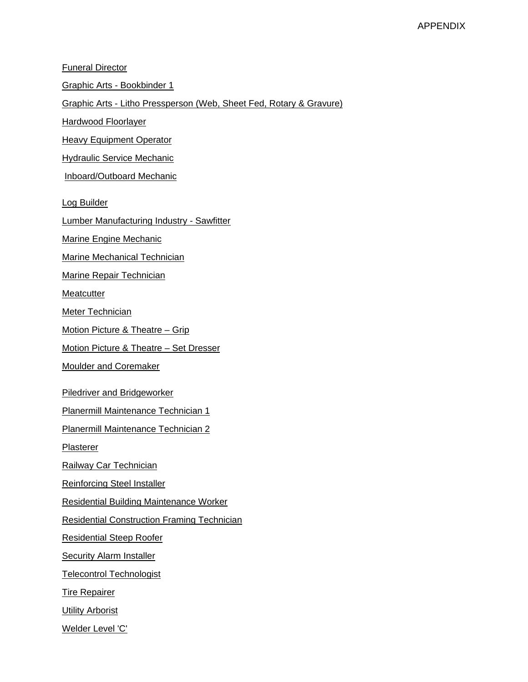| <b>Funeral Director</b>                                             |
|---------------------------------------------------------------------|
| <u> Graphic Arts - Bookbinder 1</u>                                 |
| Graphic Arts - Litho Pressperson (Web, Sheet Fed, Rotary & Gravure) |
| <b>Hardwood Floorlayer</b>                                          |
| <b>Heavy Equipment Operator</b>                                     |
| <b>Hydraulic Service Mechanic</b>                                   |
| Inboard/Outboard Mechanic                                           |
| <b>Log Builder</b>                                                  |
| <b>Lumber Manufacturing Industry - Sawfitter</b>                    |
|                                                                     |
| <b>Marine Engine Mechanic</b><br>Marine Mechanical Technician       |
|                                                                     |
| <b>Marine Repair Technician</b>                                     |
| <b>Meatcutter</b>                                                   |
| <b>Meter Technician</b>                                             |
| <u> Motion Picture &amp; Theatre – Grip</u>                         |
| <u> Motion Picture &amp; Theatre – Set Dresser</u>                  |
| <b>Moulder and Coremaker</b>                                        |
| <b>Piledriver and Bridgeworker</b>                                  |
| <b>Planermill Maintenance Technician 1</b>                          |
| <b>Planermill Maintenance Technician 2</b>                          |
| <b>Plasterer</b>                                                    |
| Railway Car Technician                                              |
| <b>Reinforcing Steel Installer</b>                                  |
| <b>Residential Building Maintenance Worker</b>                      |
| <b>Residential Construction Framing Technician</b>                  |
| <b>Residential Steep Roofer</b>                                     |
| <b>Security Alarm Installer</b>                                     |
| <b>Telecontrol Technologist</b>                                     |
| <b>Tire Repairer</b>                                                |
| <b>Utility Arborist</b>                                             |
| Welder Level 'C'                                                    |